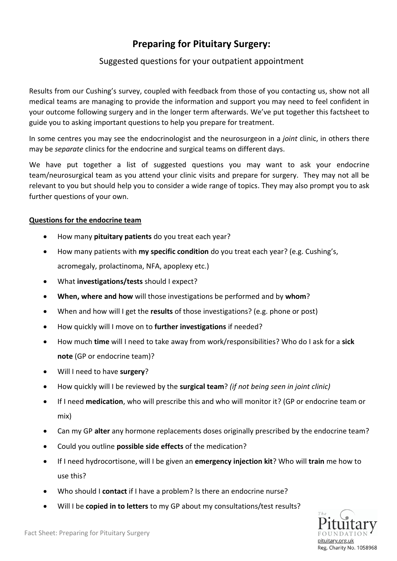## **Preparing for Pituitary Surgery:**

## Suggested questions for your outpatient appointment

Results from our Cushing's survey, coupled with feedback from those of you contacting us, show not all medical teams are managing to provide the information and support you may need to feel confident in your outcome following surgery and in the longer term afterwards. We've put together this factsheet to guide you to asking important questions to help you prepare for treatment.

In some centres you may see the endocrinologist and the neurosurgeon in a *joint* clinic, in others there may be *separate* clinics for the endocrine and surgical teams on different days.

We have put together a list of suggested questions you may want to ask your endocrine team/neurosurgical team as you attend your clinic visits and prepare for surgery. They may not all be relevant to you but should help you to consider a wide range of topics. They may also prompt you to ask further questions of your own.

## **Questions for the endocrine team**

- How many **pituitary patients** do you treat each year?
- How many patients with **my specific condition** do you treat each year? (e.g. Cushing's, acromegaly, prolactinoma, NFA, apoplexy etc.)
- What **investigations/tests** should I expect?
- **When, where and how** will those investigations be performed and by **whom**?
- When and how will I get the **results** of those investigations? (e.g. phone or post)
- How quickly will I move on to **further investigations** if needed?
- How much **time** will I need to take away from work/responsibilities? Who do I ask for a **sick note** (GP or endocrine team)?
- Will I need to have **surgery**?
- How quickly will I be reviewed by the **surgical team**? *(if not being seen in joint clinic)*
- If I need **medication**, who will prescribe this and who will monitor it? (GP or endocrine team or mix)
- Can my GP **alter** any hormone replacements doses originally prescribed by the endocrine team?
- Could you outline **possible side effects** of the medication?
- If I need hydrocortisone, will I be given an **emergency injection kit**? Who will **train** me how to use this?
- Who should I **contact** if I have a problem? Is there an endocrine nurse?
- Will I be **copied in to letters** to my GP about my consultations/test results?